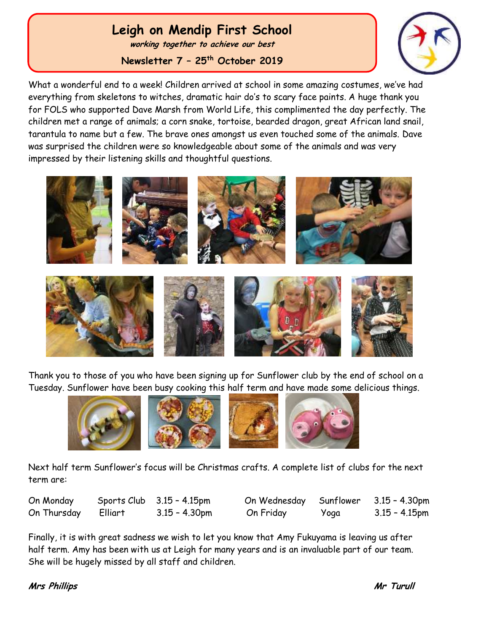# **Leigh on Mendip First School**

**working together to achieve our best**

**Newsletter 7 – 25th October 2019**



What a wonderful end to a week! Children arrived at school in some amazing costumes, we've had everything from skeletons to witches, dramatic hair do's to scary face paints. A huge thank you for FOLS who supported Dave Marsh from World Life, this complimented the day perfectly. The children met a range of animals; a corn snake, tortoise, bearded dragon, great African land snail, tarantula to name but a few. The brave ones amongst us even touched some of the animals. Dave was surprised the children were so knowledgeable about some of the animals and was very impressed by their listening skills and thoughtful questions.



Thank you to those of you who have been signing up for Sunflower club by the end of school on a Tuesday. Sunflower have been busy cooking this half term and have made some delicious things.



Next half term Sunflower's focus will be Christmas crafts. A complete list of clubs for the next term are:

| On Monday   |         | Sports Club $3.15 - 4.15$ pm | On Wednesday Sunflower 3.15 - 4.30pm |      |                  |
|-------------|---------|------------------------------|--------------------------------------|------|------------------|
| On Thursday | Elliart | $3.15 - 4.30$ pm             | On Friday                            | Yoga | $3.15 - 4.15$ pm |

Finally, it is with great sadness we wish to let you know that Amy Fukuyama is leaving us after half term. Amy has been with us at Leigh for many years and is an invaluable part of our team. She will be hugely missed by all staff and children.

### **Mrs Phillips Mr Turull**

 Ĭ